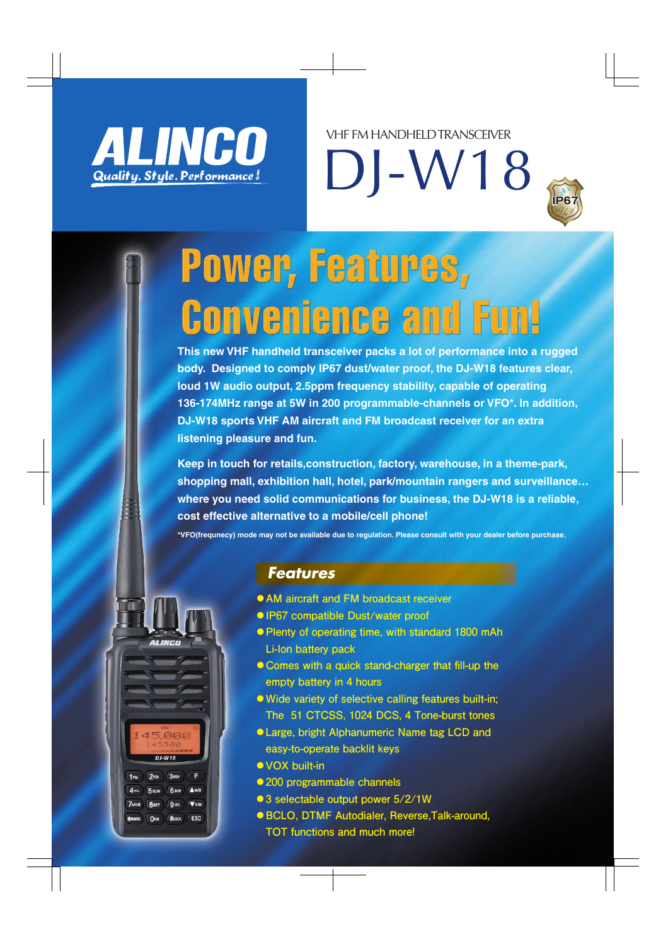

DJ-W18 VHF FM HANDHELD TRANSCEIVER



# Power, Features, **Convenience and Fun**

**This new VHF handheld transceiver packs a lot of performance into a rugged body. Designed to comply IP67 dust/water proof, the DJ-W18 features clear, loud 1W audio output, 2.5ppm frequency stability, capable of operating 136-174MHz range at 5W in 200 programmable-channels or VFO\*. In addition, DJ-W18 sports VHF AM aircraft and FM broadcast receiver for an extra listening pleasure and fun.**

**Keep in touch for retails,construction, factory, warehouse, in a theme-park, shopping mall, exhibition hall, hotel, park/mountain rangers and surveillance… where you need solid communications for business, the DJ-W18 is a reliable, cost effective alternative to a mobile/cell phone!**

**\*VFO(frequnecy) mode may not be available due to regulation. Please consult with your dealer before purchase.**



### *Features*

- **●AM aircraft and FM broadcast receiver**
- **●IP67 compatible Dust/water proof**
- **●Plenty of operating time, with standard 1800 mAh Li-Ion battery pack**
- **●Comes with a quick stand-charger that fill-up the empty battery in 4 hours**
- **●Wide variety of selective calling features built-in; The 51 CTCSS, 1024 DCS, 4 Tone-burst tones**
- **●Large, bright Alphanumeric Name tag LCD and easy-to-operate backlit keys**
- **●VOX built-in**
- **●200 programmable channels**
- ●3 selectable output power 5/2/1W
- **●BCLO, DTMF Autodialer, Reverse,Talk-around, TOT functions and much more!**